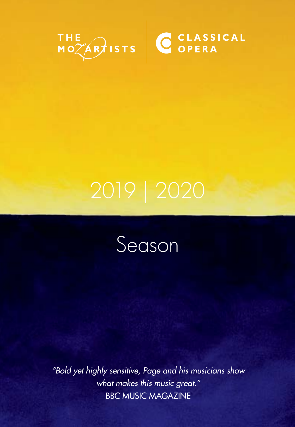



*"Bold yet highly sensitive, Page and his musicians show what makes this music great."*  BBC MUSIC MAGAZINE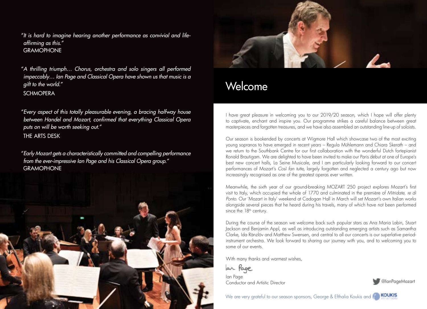"It is hard to imagine hearing another performance as convivial and lifeaffirming as this." **GRAMOPHONE** 

A thrilling triumph… Chorus, orchestra and solo singers all performed " impeccably… Ian Page and Classical Opera have shown us that music is a <sup>g</sup>ift to the world." **SCHMOPERA** 

Every aspect of this totally pleasurable evening, a bracing halfway house " between Handel and Mozart, confirmed that everything Classical Opera puts on will be worth seeking out." THE ARTS DESK

Early Mozart gets a characteristically committed and compelling performance " from the ever-impressive Ian Page and his Classical Opera group." **GRAMOPHONE** 





## Welcome

I have great pleasure in welcoming you to our 2019/20 season, which I hope will offer plenty to captivate, enchant and inspire you. Our programme strikes a careful balance between great masterpieces and forgotten treasures, and we have also assembled an outstanding line-up of soloists.

Our season is bookended by concerts at Wigmore Hall which showcase two of the most exciting young sopranos to have emerged in recent years – Regula Mühlemann and Chiara Skerath – and we return to the Southbank Centre for our first collaboration with the wonderful Dutch fortepianist Ronald Brautigam. We are delighted to have been invited to make our Paris début at one of Europe's best new concert halls, La Seine Musicale, and I am particularly looking forward to our concert performances of Mozart's *Così fan tutte*, largely forgotten and neglected a century ago but now increasingly recognised as one of the greatest operas ever written.

Meanwhile, the sixth year of our ground-breaking MOZART 250 project explores Mozart's first visit to Italy, which occupied the whole of 1770 and culminated in the première of *Mitridate, re di Ponto*. Our 'Mozart in Italy' weekend at Cadogan Hall in March will set Mozart's own Italian works alongside several pieces that he heard during his travels, many of which have not been performed since the 18<sup>th</sup> century.

During the course of the season we welcome back such popular stars as Ana Maria Labin, Stuart Jackson and Benjamin Appl, as well as introducing outstanding emerging artists such as Samantha Clarke, Ida Ränzlöv and Matthew Swensen, and central to all our concerts is our superlative periodinstrument orchestra. We look forward to sharing our journey with you, and to welcoming you to some of our events.

With many thanks and warmest wishes,

lar Page Ian Page Conductor and Artistic Director

@IanPageMozart

We are very grateful to our season sponsors, George & Efthalia Koukis and **KOUKIS**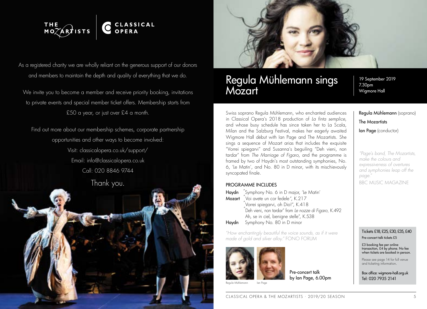

As a registered charity we are wholly reliant on the generous support of our donors and members to maintain the depth and quality of everything that we do.

We invite you to become a member and receive priority booking, invitations to private events and special member ticket offers. Membership starts from £50 a year, or just over £4 a month.

Find out more about our membership schemes, corporate partnership opportunities and other ways to become involved: Visit: classicalopera.co.uk/support/ Email: info@classicalopera.co.uk Call: 020 8846 9744





### Regula Mühlemann sings Mozart

19 September 2019 7.30pm Wigmore Hall

Swiss soprano Regula Mühlemann, who enchanted audiences in Classical Opera's 2018 production of *La finta semplice*, and whose busy schedule has since taken her to La Scala, Milan and the Salzburg Festival, makes her eagerly awaited Wigmore Hall début with Ian Page and The Mozartists. She sings a sequence of Mozart arias that includes the exquisite "Vorrei spiegarvi" and Susanna's beguiling "Deh vieni, non tardar" from *The Marriage of Figaro*, and the programme is framed by two of Haydn's most outstanding symphonies, No. 6, 'Le Matin', and No. 80 in D minor, with its mischievously syncopated finale.

### PROGRAMME INCLUDES

Haydn <sup>"</sup>Symphony No. 6 in D major, 'Le Matin' Mozart <sup>"Voi</sup> avete un cor fedele", K.217 Vorrei spiegarvi, oh Dio!", K.418 " Deh vieni, non tardar" from *Le nozze di Figaro,* K.492 " Ah, se in ciel, benigne stelle", K.538 Haydn Symphony No. 80 in D minor

*"How enchantingly beautiful the voice sounds, as if it were made of gold and silver alloy."* FONO FORUM



Pre-concert talk by Ian Page, 6.00pm Regula Mühlemann (soprano) The Mozartists

Ian Page (conductor)

*"Page's band, The Mozartists, make the colours and expressiveness of overtures and symphonies leap off the page."*  BBC MUSIC MAGAZINE

### Tickets £18, £25, £30, £35, £40

Pre-concert talk tickets £5

£3 booking fee per online transaction, £4 by phone. No fee when tickets are booked in person.

Please see page 14 for full venue and ticketing information.

Box office: wigmore-hall.org.uk Tel: 020 7935 2141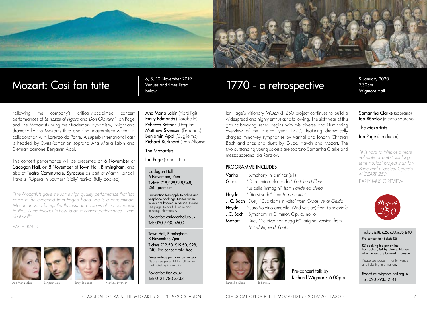

# Mozart: Così fan tutte **6, 8, 10 November 2019**

Venues and times listed below

## 1770 - a retrospective

9 January 2020 7.30pm Wigmore Hall

Following the company's critically-acclaimed concert performances of *Le nozze di Figaro* and *Don Giovanni,* Ian Page and The Mozartists bring their trademark dynamism, insight and dramatic flair to Mozart's third and final masterpiece written in collaboration with Lorenzo da Ponte*.* A superb international cast is headed by Swiss-Romanian soprano Ana Maria Labin and German baritone Benjamin Appl.

This concert performance will be presented on 6 November at Cadogan Hall, on 8 November at Town Hall, Birmingham, and also at Teatro Communale, Syracuse as part of Martin Randall Travel's 'Opera in Southern Sicily' festival (fully booked).

*"The Mozartists gave the same high quality performance that has come to be expected from Page's band. He is a consummate Mozartian who brings the flavours and colours of the composer to life... A masterclass in how to do a concert performance – and do it well."* 

BACHTRACK



Ana Maria Labin Benjamin Appl



Emily Edmonds Matthew<sub>s</sub>

Ana Maria Labin (Fiordiligi) Emily Edmonds (Dorabella) Rebecca Bottone (Despina) Matthew Swensen (Ferrando) Benjamin Appl (Guglielmo) Richard Burkhard (Don Alfonso)

### The Mozartists

Ian Page (conductor)

#### Cadogan Hall 6 November, 7pm Tickets £18,£28,£38,£48, £60 (premium)

Transaction fees apply to online and telephone bookings. No fee when tickets are booked in person. Please see page 14 for full venue and ticketing information.

Box office: cadoganhall.co.uk Tel: 020 7730 4500

Town Hall, Birmingham 8 November, 7pm Tickets £12.50, £19.50, £28, £40. Pre-concert talk, free.

Prices include per ticket commission. Please see page 14 for full venue and ticketing information.

Box office: thsh.co.uk Tel: 0121 780 3333

Ian Page's visionary MOZART 250 project continues to build a widespread and highly enthusiastic following. The sixth year of this ground-breaking series begins with this diverse and illuminating overview of the musical year 1770, featuring dramatically charged minor-key symphonies by Vanhal and Johann Christian Bach and arias and duets by Gluck, Haydn and Mozart. The two outstanding young soloists are soprano Samantha Clarke and mezzo-soprano Ida Ränzlöv.

### PROGRAMME INCLUDES

| Vanhal | Symphony in E minor (e1)                                     |
|--------|--------------------------------------------------------------|
| Gluck  | "O del mio dolce ardor" Paride ed Flena                      |
|        | "Le belle immagini" from Paride ed Elena                     |
|        | Haydn "Già si vede" from Le pescatrici                       |
|        | J. C. Bach Duet, "Guardami in volto" from Gioas, re di Giuda |
| Havdn  | "Caro Volpino amabile" (2nd version) from Lo speziale        |
|        | J.C. Bach Symphony in G minor, Op. 6, no. 6                  |
| Mozart | Duet, "Se viver non degg'io" (original version) from         |
|        | Mitridate, re di Ponto                                       |



Pre-concert talk by Richard Wigmore, 6.00pm

Samantha Clarke (soprano) Ida Ränzlöv (mezzo-soprano)

The Mozartists

Ian Page (conductor)

*"It is hard to think of a more valuable or ambitious long term musical project than Ian Page and Classical Opera's MOZART 250."*

EARLY MUSIC REVIEW



#### Tickets £18, £25, £30, £35, £40

Pre-concert talk tickets £5

£3 booking fee per online transaction, £4 by phone. No fee when tickets are booked in person.

Please see page 14 for full venue and ticketing information.

Box office: wigmore-hall.org.uk Tel: 020 7935 2141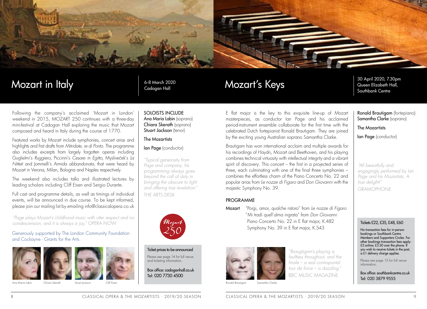

### Mozart in Italy

### 6-8 March 2020 Cadogan Hall

Following the company's acclaimed 'Mozart in London' weekend in 2015, MOZART 250 continues with a three-day mini-festival at Cadogan Hall exploring the music that Mozart composed and heard in Italy during the course of 1770.

Featured works by Mozart include symphonies, concert arias and highlights and first drafts from *Mitridate, re di Ponto.* The programme also includes excerpts from largely forgotten operas including Guglielmi's *Ruggiero*, Piccinni's *Cesare in Egitto*, Mysliveček's *La Nitteti* and Jommelli's *Armida abbandonata,* that were heard by Mozart in Verona, Milan, Bologna and Naples respectively.

The weekend also includes talks and illustrated lectures by leading scholars including Cliff Eisen and Sergio Durante.

Full cast and programme details, as well as timings of individual events, will be announced in due course. To be kept informed, please join our mailing list by emailing info@classicalopera.co.uk

*"Page plays Mozart's childhood music with utter respect and no condescension, and it is always a joy."* OPERA NOW

### Generously supported by The London Community Foundation and Cockayne - Grants for the Arts.





Ana Maria Labin Chiara Skerath

Stuart Jackson

SOLOISTS INCLUDE Ana Maria Labin (soprano) Chiara Skerath (soprano)

### The Mozartists

Ian Page (conductor)

Stuart Jackson (tenor)

*"Typical generosity from Page and company; his programming always goes beyond the call of duty in bringing the obscure to light and offering true revelation."*  THE ARTS DESK



Ticket prices to be announced Please see page 14 for full venue and ticketing information.

Box office: cadoganhall.co.uk Tel: 020 7730 4500

### E flat major is the key to this exquisite line-up of Mozart masterpieces, as conductor Ian Page and his acclaimed period-instrument ensemble collaborate for the first time with the celebrated Dutch fortepianist Ronald Brautigam. They are joined by the exciting young Australian soprano Samantha Clarke.

Brautigam has won international acclaim and multiple awards for his recordings of Haydn, Mozart and Beethoven, and his playing combines technical virtuosity with intellectual integrity and a vibrant spirit of discovery. This concert – the first in a projected series of three, each culminating with one of the final three symphonies – combines the effortless charm of the Piano Concerto No. 22 and popular arias from *Le nozze di Figaro* and *Don Giovanni* with the majestic Symphony No. 39.

### PROGRAMME

Mozart's Keys

Mozart "Porgi, amor, qualche ristoro" from *Le nozze di Figaro* " Mi tradì quell'alma ingrata" from *Don Giovanni* Piano Concerto No. 22 in E flat major, K.482 Symphony No. 39 in E flat major, K.543



*"Braugtigam's playing is faultless throughout, and the finale – a real contrapuntal tour de force – is dazzling."*  BBC MUSIC MAGAZINE

Ronald Brautigam Samantha Clarke 30 April 2020, 7.30pm Queen Elizabeth Hall, Southbank Centre

Ronald Brautigam (fortepiano) Samantha Clarke (soprano)

### The Mozartists

Ian Page (conductor)

*"All beautifully and engagingly performed by Ian Page and his Mozartists. A true delight!"*  GRAMOPHONE

### Tickets £22, £35, £48, £60

No transaction fees for in-person bookings or Southbank Centre Members and Supporters Circles. For other bookings transaction fees apply: £3 online; £3.50 over the phone. If you wish to receive tickets in the post, a £1 delivery charge applies.

Please see page 15 for full venue information.

Box office: southbankcentre.co.uk Tel: 020 3879 9555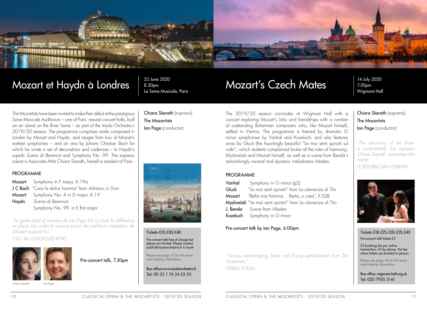

### Mozart et Haydn à Londres

22 June 2020 8.30pm La Seine Musicale, Paris

Chiara Skerath (soprano)

The Mozartists Ian Page (conductor)

### The Mozartists have been invited to make their début at the prestigious Seine Musicale Auditorium – one of Paris' newest concert halls, built on an island on the River Seine – as part of the Insula Orchestra's 2019/20 season. The programme comprises works composed in London by Mozart and Haydn, and ranges from two of Mozart's earliest symphonies – and an aria by Johann Christian Bach for which he wrote a set of decorations and cadenzas – to Haydn's superb *Scena di Berenice* and Symphony No. 99. The soprano soloist is Associate Artist Chiara Skerath, herself a resident of Paris.

### PROGRAMME

Mozart Symphony in F major, K.19a J C Bach "Cara la dolce fiamma" from *Adriano in Siria* Mozart Symphony No. 4 in D major, K.19 Haydn *Scena di Berenice* Symphony No. 99 in E flat major

*"Le geste subtil et nerveux de Ian Page fait ici toute la différence et place son collectif musical parmi les meilleurs interprètes de Mozart aujourd'hui."*

CLIC de CLASSIQUENEWS



Pre-concert talk, 7.30pm

Chiara Skerath Ian Page

ī

#### Tickets €10, €30, €40

Pre-concert talk free of charge but places are limited. Please contact public@insulaorchestra.fr to book

Please see page 15 for full venue and ticketing information.

Box office:www.insulaorchestra.fr Tel: 00 33 1 74 34 53 53

## Mozart's Czech Mates

14 July 2020 7.30pm Wigmore Hall

The 2019/20 season concludes at Wigmore Hall with a concert exploring Mozart's links and friendships with a number of outstanding Bohemian composers who, like Mozart himself, settled in Vienna. The programme is framed by dramatic G minor symphonies by Vanhal and Kozeluch, and also features arias by Gluck (the hauntingly beautiful "Se mai senti spirarti sul volto", which students complained broke all the rules of harmony), Mysliveček and Mozart himself, as well as a scene from Benda's astonishingly visceral and dynamic melodrama *Medea*.

### PROGRAMME

Vanhal Symphony in G minor (q2) Gluck "Se mai senti spirarti" from *La clemenza di Tito* Mozart "Bella mia fiamma… Resta, o cara", K.528 Mysliveček "Se mai senti spirarti" from *La clemenza di Tito*  J. Benda Scene from *Medea* Kozeluch Symphony in G minor

### Pre-concert talk by Ian Page, 6.00pm

*"Vicious nerve-tingling Sturm und Drang exhibitionism from The Mozartists."*

OPERA TODAY

Chiara Skerath (soprano) The Mozartists Ian Page (conductor)

*"The discovery of the show is undoubtedly the soprano Chiara Skerath, remember this name."* LE REPUBLICAIN LORRAIN



### Tickets £18, £25, £30, £35, £40

Pre-concert talk tickets £5

£3 booking fee per online transaction, £4 by phone. No fee when tickets are booked in person.

Please see page 14 for full venue and ticketing information.

Box office: wigmore-hall.org.uk Tel: 020 7935 2141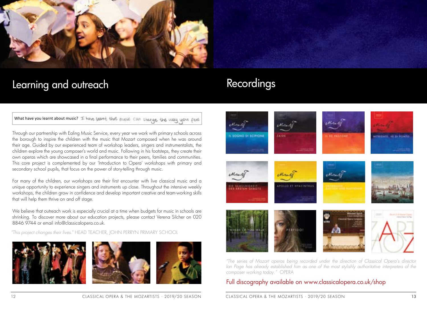

## Learning and outreach

What have you learnt about music? If have learnt that music can change the way you feel

Through our partnership with Ealing Music Service, every year we work with primary schools across the borough to inspire the children with the music that Mozart composed when he was around their age. Guided by our experienced team of workshop leaders, singers and instrumentalists, the children explore the young composer's world and music. Following in his footsteps, they create their own operas which are showcased in a final performance to their peers, families and communities. This core project is complemented by our 'Introduction to Opera' workshops with primary and secondary school pupils, that focus on the power of story-telling through music.

For many of the children, our workshops are their first encounter with live classical music and a unique opportunity to experience singers and instruments up close. Throughout the intensive weekly workshops, the children grow in confidence and develop important creative and team-working skills that will help them thrive on and off stage.

We believe that outreach work is especially crucial at a time when budgets for music in schools are shrinking. To discover more about our education projects, please contact Verena Silcher on 020 8846 9744 or email info@classicalopera.co.uk.

*"This project changes their lives."* HEAD TEACHER, JOHN PERRYN PRIMARY SCHOOL







## Recordings



*"The series of Mozart operas being recorded under the direction of Classical Opera's director Ian Page has already established him as one of the most stylishly authoritative interpreters of the composer working today."* OPERA

### Full discography available on www.classicalopera.co.uk/shop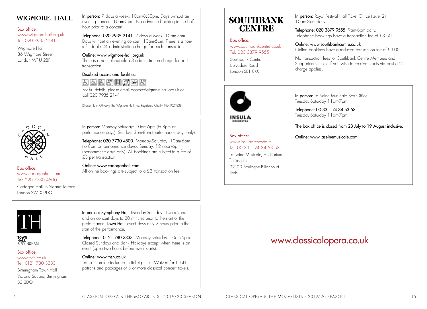### **WIGMORE HALL**

### Box office:

www.wigmore-hall.org.uk Tel: 020 7935 2141

Wigmore Hall 36 Wigmore Street London W1U 2BP

In person: 7 days a week: 10am-8:30pm. Days without an evening concert: 10am-5pm. No advance booking in the half hour prior to a concert.

Telephone: 020 7935 2141. 7 days a week: 10am-7pm. Days without an evening concert: 10am-5pm. There is a nonrefundable £4 administration charge for each transaction.

### Online: www.wigmore-hall.org.uk

There is a non-refundable £3 administration charge for each transaction.

### Disabled access and facilities:

### 55周周開の国は

For full details, please email access@wigmore-hall.org.uk or call 020 7935 2141.

Director: John Gilhooly, The Wigmore Hall Trust. Registered Charity, No.1024838.

In person: Monday-Saturday: 10am-6pm (to 8pm on



Box office: www.cadoganhall.com

Tel: 020 7730 4500 Cadogan Hall, 5 Sloane Terrace

London SW1X 9DQ

Telephone: 020 7730 4500. Monday-Saturday: 10am-6pm (to 8pm on performance days). Sunday: 12 noon-6pm. (performance days only). All bookings are subject to a fee of

performance days). Sunday: 3pm-8pm (performance days only).

Online: www.cadoganhall.com All online bookings are subject to a £3 transaction fee.





#### Box office: www.thsh.co.uk Tel: 0121 780 3333

Birmingham Town Hall Victoria Square, Birmingham B3 3DQ

In person: Symphony Hall: Monday-Saturday: 10am-6pm, and on concert days to 30 minutes prior to the start of the performance. Town Hall: event days only 2 hours prior to the start of the performance.

Telephone: 0121 780 3333. Monday-Saturday: 10am-6pm. Closed Sundays and Bank Holidays except when there is an event (open two hours before event starts).

### Online: www.thsh.co.uk

£3 per transaction.

Transaction fee included in ticket prices. Waived for THSH patrons and packages of 3 or more classical concert tickets.

### **SOUTHBANK CENTRE**

### Box office: www.southbankcentre.co.uk Tel: 020 3879 9555

Southbank Centre Belvedere Road London SE1 8XX

In person: Royal Festival Hall Ticket Office (Level 2) 10am-8pm daily.

Telephone: 020 3879 9555. 9am-8pm daily. Telephone bookings have a transaction fee of £3.50

### Online: www.southbankcentre.co.uk Online bookings have a reduced transaction fee of £3.00.

No transaction fees for Southbank Centre Members and Supporters Circles. If you wish to receive tickets via post a £1 charge applies.



In person: La Seine Musicale Box Office Tuesday-Saturday 11am-7pm.

Telephone: 00 33 1 74 34 53 53. Tuesday-Saturday 11am-7pm.

The box office is closed from 28 July to 19 August inclusive.

### Box office:

www.insulaorchestra.fr Tel: 00 33 1 74 34 53 53

La Seine Musicale, Auditorium Île Seguin 92100 Boulogne-Billancourt Paris

Online: www.laseinemusicale.com

### www.classicalopera.co.uk